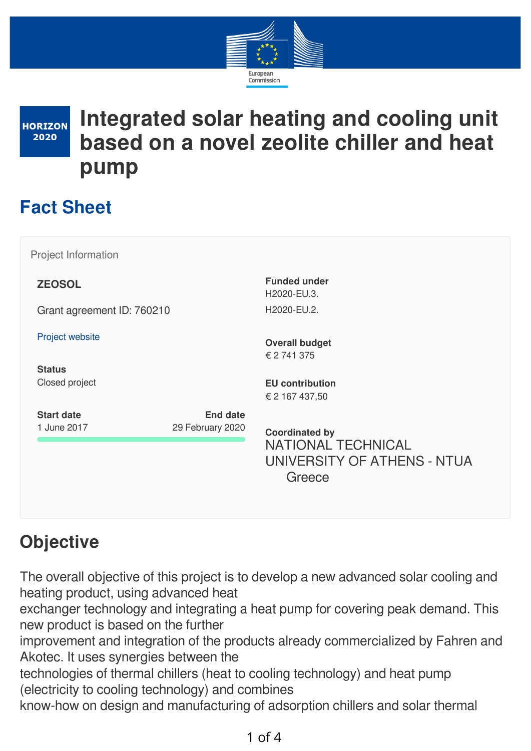

**HORIZON** 2020

# **Integrated solar heating and cooling unit based on a novel zeolite chiller and heat pump**

# **Fact Sheet**

Project Information

**ZEOSOL**

Grant agreement ID: 760210

Project [website](http://zeosol.eu/)

**Status** Closed project H2020-EU.3. H2020-EU.2.

**Funded under**

**Overall budget** € 2 741 375

**EU contribution** € 2 167 437,50

**Start date** 1 June 2017

**Coordinated by** NATIONAL TECHNICAL UNIVERSITY OF ATHENS - NTUA Greece

# **Objective**

The overall objective of this project is to develop a new advanced solar cooling and heating product, using advanced heat

exchanger technology and integrating a heat pump for covering peak demand. This new product is based on the further

improvement and integration of the products already commercialized by Fahren and Akotec. It uses synergies between the

technologies of thermal chillers (heat to cooling technology) and heat pump (electricity to cooling technology) and combines

**End date**

29 February 2020

know-how on design and manufacturing of adsorption chillers and solar thermal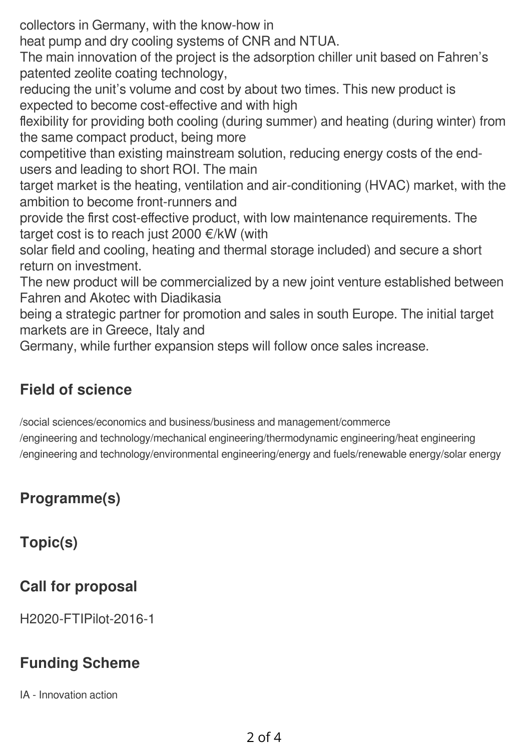collectors in Germany, with the know-how in

heat pump and dry cooling systems of CNR and NTUA.

The main innovation of the project is the adsorption chiller unit based on Fahren's patented zeolite coating technology,

reducing the unit's volume and cost by about two times. This new product is expected to become cost-effective and with high

flexibility for providing both cooling (during summer) and heating (during winter) from the same compact product, being more

competitive than existing mainstream solution, reducing energy costs of the endusers and leading to short ROI. The main

target market is the heating, ventilation and air-conditioning (HVAC) market, with the ambition to become front-runners and

provide the first cost-effective product, with low maintenance requirements. The target cost is to reach just 2000 €/kW (with

solar field and cooling, heating and thermal storage included) and secure a short return on investment.

The new product will be commercialized by a new joint venture established between Fahren and Akotec with Diadikasia

being a strategic partner for promotion and sales in south Europe. The initial target markets are in Greece, Italy and

Germany, while further expansion steps will follow once sales increase.

### **Field of science**

/social sciences/economics and business/business and management/commerce

/engineering and technology/mechanical engineering/thermodynamic engineering/heat engineering /engineering and technology/environmental engineering/energy and fuels/renewable energy/solar energy

## **Programme(s)**

**Topic(s)**

## **Call for proposal**

H2020-FTIPilot-2016-1

### **Funding Scheme**

IA - Innovation action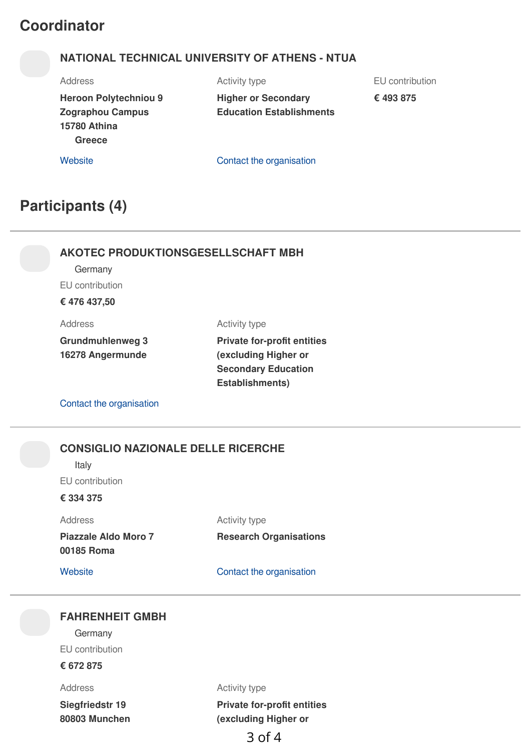### **Coordinator**

#### **NATIONAL TECHNICAL UNIVERSITY OF ATHENS - NTUA**

Address

**Heroon Polytechniou 9 Zographou Campus 15780 Athina**

Activity type **Higher or Secondary**

**Education Establishments**

EU contribution

**€ 493 875**

**Greece**

[Website](http://www.ntua.gr/) **Contact** the [organisation](https://ec.europa.eu/info/funding-tenders/opportunities/portal/screen/contact-form/PROJECT/999978142/760210)

### **Participants (4)**

#### **AKOTEC PRODUKTIONSGESELLSCHAFT MBH**

Germany

EU contribution

**€ 476 437,50**

Address

Activity type

**Grundmuhlenweg 3 16278 Angermunde**

#### **Private for-profit entities (excluding Higher or Secondary Education Establishments)**

Contact the [organisation](https://ec.europa.eu/info/funding-tenders/opportunities/portal/screen/contact-form/PROJECT/937374342/760210)

#### **CONSIGLIO NAZIONALE DELLE RICERCHE**

Italy

EU contribution

**€ 334 375**

Address

Activity type

**Piazzale Aldo Moro 7 00185 Roma**

**Research Organisations**

[Website](http://www.cnr.it/) **Contact** the [organisation](https://ec.europa.eu/info/funding-tenders/opportunities/portal/screen/contact-form/PROJECT/999979500/760210)

#### **FAHRENHEIT GMBH**

**Germany** EU contribution

**€ 672 875**

Address

**Siegfriedstr 19 80803 Munchen** Activity type

**Private for-profit entities (excluding Higher or**

3 of 4